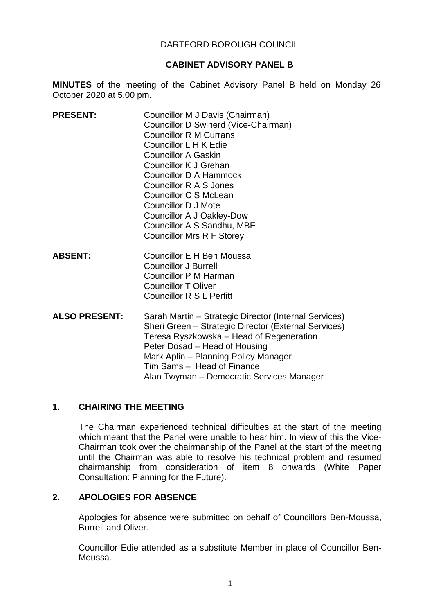#### DARTFORD BOROUGH COUNCIL

#### **CABINET ADVISORY PANEL B**

**MINUTES** of the meeting of the Cabinet Advisory Panel B held on Monday 26 October 2020 at 5.00 pm.

- **PRESENT:** Councillor M J Davis (Chairman) Councillor D Swinerd (Vice-Chairman) Councillor R M Currans Councillor L H K Edie Councillor A Gaskin Councillor K J Grehan Councillor D A Hammock Councillor R A S Jones Councillor C S McLean Councillor D J Mote Councillor A J Oakley-Dow Councillor A S Sandhu, MBE Councillor Mrs R F Storey
- **ABSENT:** Councillor E H Ben Moussa Councillor J Burrell Councillor P M Harman Councillor T Oliver Councillor R S L Perfitt
- **ALSO PRESENT:** Sarah Martin Strategic Director (Internal Services) Sheri Green – Strategic Director (External Services) Teresa Ryszkowska – Head of Regeneration Peter Dosad – Head of Housing Mark Aplin – Planning Policy Manager Tim Sams – Head of Finance Alan Twyman – Democratic Services Manager

#### **1. CHAIRING THE MEETING**

The Chairman experienced technical difficulties at the start of the meeting which meant that the Panel were unable to hear him. In view of this the Vice-Chairman took over the chairmanship of the Panel at the start of the meeting until the Chairman was able to resolve his technical problem and resumed chairmanship from consideration of item 8 onwards (White Paper Consultation: Planning for the Future).

#### **2. APOLOGIES FOR ABSENCE**

Apologies for absence were submitted on behalf of Councillors Ben-Moussa, Burrell and Oliver.

Councillor Edie attended as a substitute Member in place of Councillor Ben-Moussa.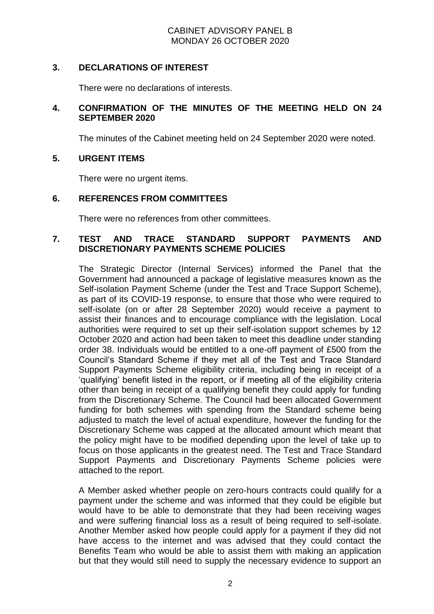#### **3. DECLARATIONS OF INTEREST**

There were no declarations of interests.

## **4. CONFIRMATION OF THE MINUTES OF THE MEETING HELD ON 24 SEPTEMBER 2020**

The minutes of the Cabinet meeting held on 24 September 2020 were noted.

# **5. URGENT ITEMS**

There were no urgent items.

#### **6. REFERENCES FROM COMMITTEES**

There were no references from other committees.

# **7. TEST AND TRACE STANDARD SUPPORT PAYMENTS AND DISCRETIONARY PAYMENTS SCHEME POLICIES**

The Strategic Director (Internal Services) informed the Panel that the Government had announced a package of legislative measures known as the Self-isolation Payment Scheme (under the Test and Trace Support Scheme), as part of its COVID-19 response, to ensure that those who were required to self-isolate (on or after 28 September 2020) would receive a payment to assist their finances and to encourage compliance with the legislation. Local authorities were required to set up their self-isolation support schemes by 12 October 2020 and action had been taken to meet this deadline under standing order 38. Individuals would be entitled to a one-off payment of £500 from the Council's Standard Scheme if they met all of the Test and Trace Standard Support Payments Scheme eligibility criteria, including being in receipt of a 'qualifying' benefit listed in the report, or if meeting all of the eligibility criteria other than being in receipt of a qualifying benefit they could apply for funding from the Discretionary Scheme. The Council had been allocated Government funding for both schemes with spending from the Standard scheme being adjusted to match the level of actual expenditure, however the funding for the Discretionary Scheme was capped at the allocated amount which meant that the policy might have to be modified depending upon the level of take up to focus on those applicants in the greatest need. The Test and Trace Standard Support Payments and Discretionary Payments Scheme policies were attached to the report.

A Member asked whether people on zero-hours contracts could qualify for a payment under the scheme and was informed that they could be eligible but would have to be able to demonstrate that they had been receiving wages and were suffering financial loss as a result of being required to self-isolate. Another Member asked how people could apply for a payment if they did not have access to the internet and was advised that they could contact the Benefits Team who would be able to assist them with making an application but that they would still need to supply the necessary evidence to support an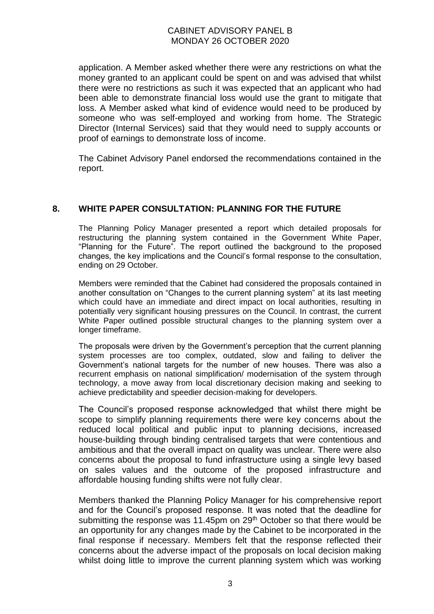application. A Member asked whether there were any restrictions on what the money granted to an applicant could be spent on and was advised that whilst there were no restrictions as such it was expected that an applicant who had been able to demonstrate financial loss would use the grant to mitigate that loss. A Member asked what kind of evidence would need to be produced by someone who was self-employed and working from home. The Strategic Director (Internal Services) said that they would need to supply accounts or proof of earnings to demonstrate loss of income.

The Cabinet Advisory Panel endorsed the recommendations contained in the report.

# **8. WHITE PAPER CONSULTATION: PLANNING FOR THE FUTURE**

The Planning Policy Manager presented a report which detailed proposals for restructuring the planning system contained in the Government White Paper, "Planning for the Future". The report outlined the background to the proposed changes, the key implications and the Council's formal response to the consultation, ending on 29 October.

Members were reminded that the Cabinet had considered the proposals contained in another consultation on "Changes to the current planning system" at its last meeting which could have an immediate and direct impact on local authorities, resulting in potentially very significant housing pressures on the Council. In contrast, the current White Paper outlined possible structural changes to the planning system over a longer timeframe.

The proposals were driven by the Government's perception that the current planning system processes are too complex, outdated, slow and failing to deliver the Government's national targets for the number of new houses. There was also a recurrent emphasis on national simplification/ modernisation of the system through technology, a move away from local discretionary decision making and seeking to achieve predictability and speedier decision-making for developers.

The Council's proposed response acknowledged that whilst there might be scope to simplify planning requirements there were key concerns about the reduced local political and public input to planning decisions, increased house-building through binding centralised targets that were contentious and ambitious and that the overall impact on quality was unclear. There were also concerns about the proposal to fund infrastructure using a single levy based on sales values and the outcome of the proposed infrastructure and affordable housing funding shifts were not fully clear.

Members thanked the Planning Policy Manager for his comprehensive report and for the Council's proposed response. It was noted that the deadline for submitting the response was 11.45pm on  $29<sup>th</sup>$  October so that there would be an opportunity for any changes made by the Cabinet to be incorporated in the final response if necessary. Members felt that the response reflected their concerns about the adverse impact of the proposals on local decision making whilst doing little to improve the current planning system which was working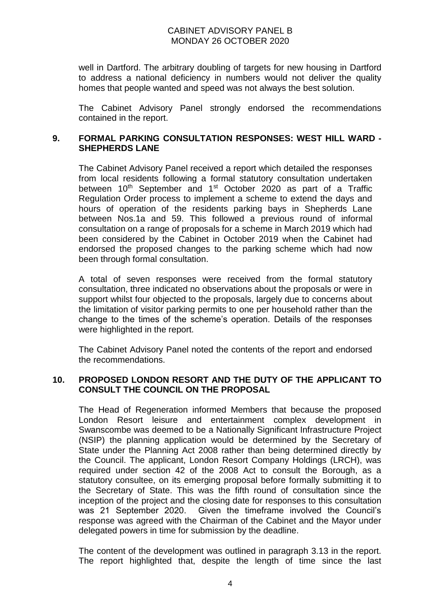well in Dartford. The arbitrary doubling of targets for new housing in Dartford to address a national deficiency in numbers would not deliver the quality homes that people wanted and speed was not always the best solution.

The Cabinet Advisory Panel strongly endorsed the recommendations contained in the report.

## **9. FORMAL PARKING CONSULTATION RESPONSES: WEST HILL WARD - SHEPHERDS LANE**

The Cabinet Advisory Panel received a report which detailed the responses from local residents following a formal statutory consultation undertaken between 10<sup>th</sup> September and 1<sup>st</sup> October 2020 as part of a Traffic Regulation Order process to implement a scheme to extend the days and hours of operation of the residents parking bays in Shepherds Lane between Nos.1a and 59. This followed a previous round of informal consultation on a range of proposals for a scheme in March 2019 which had been considered by the Cabinet in October 2019 when the Cabinet had endorsed the proposed changes to the parking scheme which had now been through formal consultation.

A total of seven responses were received from the formal statutory consultation, three indicated no observations about the proposals or were in support whilst four objected to the proposals, largely due to concerns about the limitation of visitor parking permits to one per household rather than the change to the times of the scheme's operation. Details of the responses were highlighted in the report.

The Cabinet Advisory Panel noted the contents of the report and endorsed the recommendations.

#### **10. PROPOSED LONDON RESORT AND THE DUTY OF THE APPLICANT TO CONSULT THE COUNCIL ON THE PROPOSAL**

The Head of Regeneration informed Members that because the proposed London Resort leisure and entertainment complex development in Swanscombe was deemed to be a Nationally Significant Infrastructure Project (NSIP) the planning application would be determined by the Secretary of State under the Planning Act 2008 rather than being determined directly by the Council. The applicant, London Resort Company Holdings (LRCH), was required under section 42 of the 2008 Act to consult the Borough, as a statutory consultee, on its emerging proposal before formally submitting it to the Secretary of State. This was the fifth round of consultation since the inception of the project and the closing date for responses to this consultation was 21 September 2020. Given the timeframe involved the Council's response was agreed with the Chairman of the Cabinet and the Mayor under delegated powers in time for submission by the deadline.

The content of the development was outlined in paragraph 3.13 in the report. The report highlighted that, despite the length of time since the last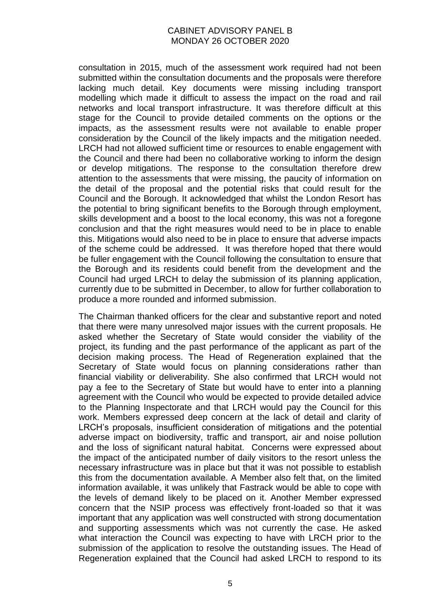consultation in 2015, much of the assessment work required had not been submitted within the consultation documents and the proposals were therefore lacking much detail. Key documents were missing including transport modelling which made it difficult to assess the impact on the road and rail networks and local transport infrastructure. It was therefore difficult at this stage for the Council to provide detailed comments on the options or the impacts, as the assessment results were not available to enable proper consideration by the Council of the likely impacts and the mitigation needed. LRCH had not allowed sufficient time or resources to enable engagement with the Council and there had been no collaborative working to inform the design or develop mitigations. The response to the consultation therefore drew attention to the assessments that were missing, the paucity of information on the detail of the proposal and the potential risks that could result for the Council and the Borough. It acknowledged that whilst the London Resort has the potential to bring significant benefits to the Borough through employment, skills development and a boost to the local economy, this was not a foregone conclusion and that the right measures would need to be in place to enable this. Mitigations would also need to be in place to ensure that adverse impacts of the scheme could be addressed. It was therefore hoped that there would be fuller engagement with the Council following the consultation to ensure that the Borough and its residents could benefit from the development and the Council had urged LRCH to delay the submission of its planning application, currently due to be submitted in December, to allow for further collaboration to produce a more rounded and informed submission.

The Chairman thanked officers for the clear and substantive report and noted that there were many unresolved major issues with the current proposals. He asked whether the Secretary of State would consider the viability of the project, its funding and the past performance of the applicant as part of the decision making process. The Head of Regeneration explained that the Secretary of State would focus on planning considerations rather than financial viability or deliverability. She also confirmed that LRCH would not pay a fee to the Secretary of State but would have to enter into a planning agreement with the Council who would be expected to provide detailed advice to the Planning Inspectorate and that LRCH would pay the Council for this work. Members expressed deep concern at the lack of detail and clarity of LRCH's proposals, insufficient consideration of mitigations and the potential adverse impact on biodiversity, traffic and transport, air and noise pollution and the loss of significant natural habitat. Concerns were expressed about the impact of the anticipated number of daily visitors to the resort unless the necessary infrastructure was in place but that it was not possible to establish this from the documentation available. A Member also felt that, on the limited information available, it was unlikely that Fastrack would be able to cope with the levels of demand likely to be placed on it. Another Member expressed concern that the NSIP process was effectively front-loaded so that it was important that any application was well constructed with strong documentation and supporting assessments which was not currently the case. He asked what interaction the Council was expecting to have with LRCH prior to the submission of the application to resolve the outstanding issues. The Head of Regeneration explained that the Council had asked LRCH to respond to its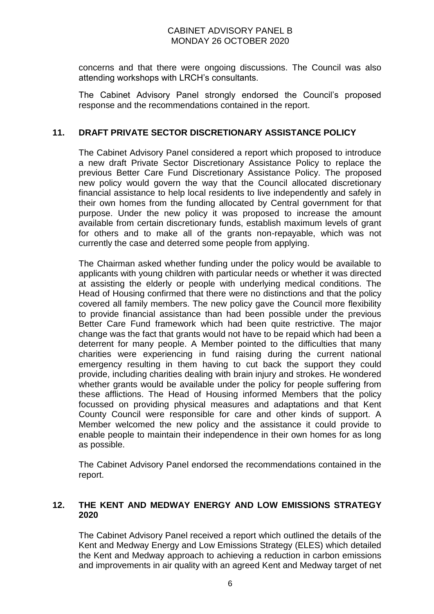concerns and that there were ongoing discussions. The Council was also attending workshops with LRCH's consultants.

The Cabinet Advisory Panel strongly endorsed the Council's proposed response and the recommendations contained in the report.

# **11. DRAFT PRIVATE SECTOR DISCRETIONARY ASSISTANCE POLICY**

The Cabinet Advisory Panel considered a report which proposed to introduce a new draft Private Sector Discretionary Assistance Policy to replace the previous Better Care Fund Discretionary Assistance Policy. The proposed new policy would govern the way that the Council allocated discretionary financial assistance to help local residents to live independently and safely in their own homes from the funding allocated by Central government for that purpose. Under the new policy it was proposed to increase the amount available from certain discretionary funds, establish maximum levels of grant for others and to make all of the grants non-repayable, which was not currently the case and deterred some people from applying.

The Chairman asked whether funding under the policy would be available to applicants with young children with particular needs or whether it was directed at assisting the elderly or people with underlying medical conditions. The Head of Housing confirmed that there were no distinctions and that the policy covered all family members. The new policy gave the Council more flexibility to provide financial assistance than had been possible under the previous Better Care Fund framework which had been quite restrictive. The major change was the fact that grants would not have to be repaid which had been a deterrent for many people. A Member pointed to the difficulties that many charities were experiencing in fund raising during the current national emergency resulting in them having to cut back the support they could provide, including charities dealing with brain injury and strokes. He wondered whether grants would be available under the policy for people suffering from these afflictions. The Head of Housing informed Members that the policy focussed on providing physical measures and adaptations and that Kent County Council were responsible for care and other kinds of support. A Member welcomed the new policy and the assistance it could provide to enable people to maintain their independence in their own homes for as long as possible.

The Cabinet Advisory Panel endorsed the recommendations contained in the report.

# **12. THE KENT AND MEDWAY ENERGY AND LOW EMISSIONS STRATEGY 2020**

The Cabinet Advisory Panel received a report which outlined the details of the Kent and Medway Energy and Low Emissions Strategy (ELES) which detailed the Kent and Medway approach to achieving a reduction in carbon emissions and improvements in air quality with an agreed Kent and Medway target of net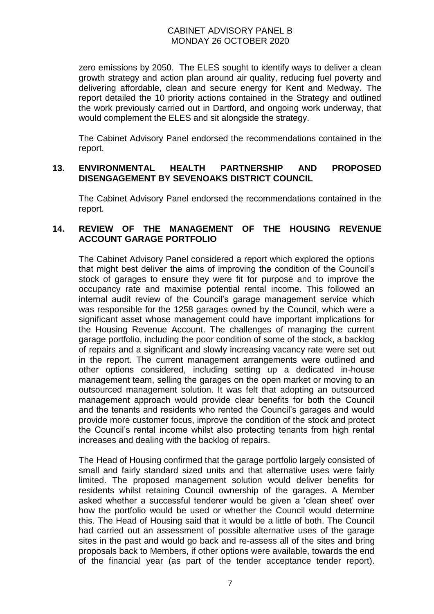zero emissions by 2050. The ELES sought to identify ways to deliver a clean growth strategy and action plan around air quality, reducing fuel poverty and delivering affordable, clean and secure energy for Kent and Medway. The report detailed the 10 priority actions contained in the Strategy and outlined the work previously carried out in Dartford, and ongoing work underway, that would complement the ELES and sit alongside the strategy.

The Cabinet Advisory Panel endorsed the recommendations contained in the report.

#### **13. ENVIRONMENTAL HEALTH PARTNERSHIP AND PROPOSED DISENGAGEMENT BY SEVENOAKS DISTRICT COUNCIL**

The Cabinet Advisory Panel endorsed the recommendations contained in the report.

## **14. REVIEW OF THE MANAGEMENT OF THE HOUSING REVENUE ACCOUNT GARAGE PORTFOLIO**

The Cabinet Advisory Panel considered a report which explored the options that might best deliver the aims of improving the condition of the Council's stock of garages to ensure they were fit for purpose and to improve the occupancy rate and maximise potential rental income. This followed an internal audit review of the Council's garage management service which was responsible for the 1258 garages owned by the Council, which were a significant asset whose management could have important implications for the Housing Revenue Account. The challenges of managing the current garage portfolio, including the poor condition of some of the stock, a backlog of repairs and a significant and slowly increasing vacancy rate were set out in the report. The current management arrangements were outlined and other options considered, including setting up a dedicated in-house management team, selling the garages on the open market or moving to an outsourced management solution. It was felt that adopting an outsourced management approach would provide clear benefits for both the Council and the tenants and residents who rented the Council's garages and would provide more customer focus, improve the condition of the stock and protect the Council's rental income whilst also protecting tenants from high rental increases and dealing with the backlog of repairs.

The Head of Housing confirmed that the garage portfolio largely consisted of small and fairly standard sized units and that alternative uses were fairly limited. The proposed management solution would deliver benefits for residents whilst retaining Council ownership of the garages. A Member asked whether a successful tenderer would be given a 'clean sheet' over how the portfolio would be used or whether the Council would determine this. The Head of Housing said that it would be a little of both. The Council had carried out an assessment of possible alternative uses of the garage sites in the past and would go back and re-assess all of the sites and bring proposals back to Members, if other options were available, towards the end of the financial year (as part of the tender acceptance tender report).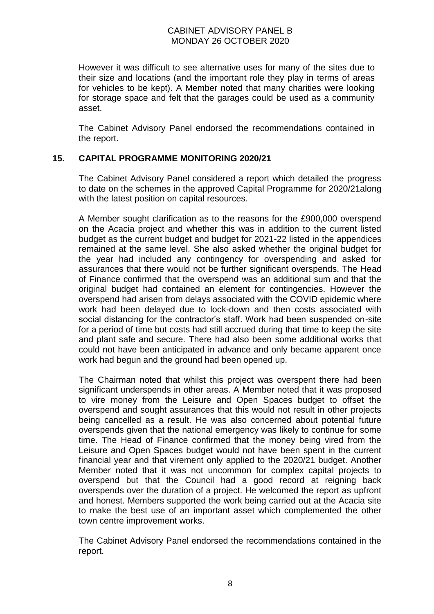However it was difficult to see alternative uses for many of the sites due to their size and locations (and the important role they play in terms of areas for vehicles to be kept). A Member noted that many charities were looking for storage space and felt that the garages could be used as a community asset.

The Cabinet Advisory Panel endorsed the recommendations contained in the report.

#### **15. CAPITAL PROGRAMME MONITORING 2020/21**

The Cabinet Advisory Panel considered a report which detailed the progress to date on the schemes in the approved Capital Programme for 2020/21along with the latest position on capital resources.

A Member sought clarification as to the reasons for the £900,000 overspend on the Acacia project and whether this was in addition to the current listed budget as the current budget and budget for 2021-22 listed in the appendices remained at the same level. She also asked whether the original budget for the year had included any contingency for overspending and asked for assurances that there would not be further significant overspends. The Head of Finance confirmed that the overspend was an additional sum and that the original budget had contained an element for contingencies. However the overspend had arisen from delays associated with the COVID epidemic where work had been delayed due to lock-down and then costs associated with social distancing for the contractor's staff. Work had been suspended on-site for a period of time but costs had still accrued during that time to keep the site and plant safe and secure. There had also been some additional works that could not have been anticipated in advance and only became apparent once work had begun and the ground had been opened up.

The Chairman noted that whilst this project was overspent there had been significant underspends in other areas. A Member noted that it was proposed to vire money from the Leisure and Open Spaces budget to offset the overspend and sought assurances that this would not result in other projects being cancelled as a result. He was also concerned about potential future overspends given that the national emergency was likely to continue for some time. The Head of Finance confirmed that the money being vired from the Leisure and Open Spaces budget would not have been spent in the current financial year and that virement only applied to the 2020/21 budget. Another Member noted that it was not uncommon for complex capital projects to overspend but that the Council had a good record at reigning back overspends over the duration of a project. He welcomed the report as upfront and honest. Members supported the work being carried out at the Acacia site to make the best use of an important asset which complemented the other town centre improvement works.

The Cabinet Advisory Panel endorsed the recommendations contained in the report.